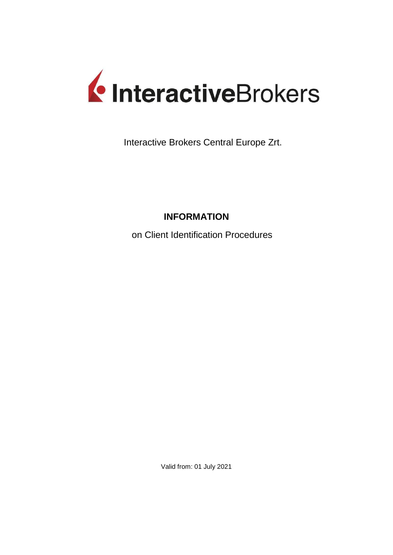

Interactive Brokers Central Europe Zrt.

# **INFORMATION**

on Client Identification Procedures

Valid from: 01 July 2021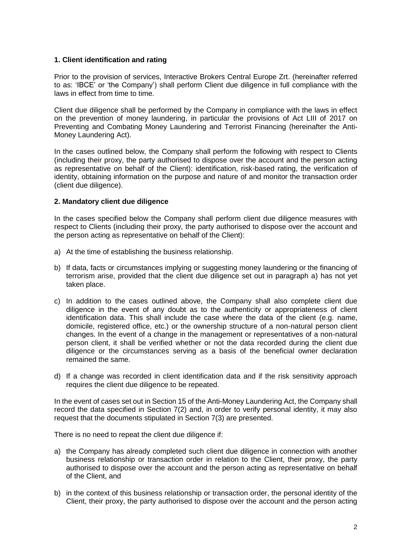### **1. Client identification and rating**

Prior to the provision of services, Interactive Brokers Central Europe Zrt. (hereinafter referred to as: 'IBCE' or 'the Company') shall perform Client due diligence in full compliance with the laws in effect from time to time.

Client due diligence shall be performed by the Company in compliance with the laws in effect on the prevention of money laundering, in particular the provisions of Act LIII of 2017 on Preventing and Combating Money Laundering and Terrorist Financing (hereinafter the Anti-Money Laundering Act).

In the cases outlined below, the Company shall perform the following with respect to Clients (including their proxy, the party authorised to dispose over the account and the person acting as representative on behalf of the Client): identification, risk-based rating, the verification of identity, obtaining information on the purpose and nature of and monitor the transaction order (client due diligence).

## **2. Mandatory client due diligence**

In the cases specified below the Company shall perform client due diligence measures with respect to Clients (including their proxy, the party authorised to dispose over the account and the person acting as representative on behalf of the Client):

- a) At the time of establishing the business relationship.
- b) If data, facts or circumstances implying or suggesting money laundering or the financing of terrorism arise, provided that the client due diligence set out in paragraph a) has not yet taken place.
- c) In addition to the cases outlined above, the Company shall also complete client due diligence in the event of any doubt as to the authenticity or appropriateness of client identification data. This shall include the case where the data of the client (e.g. name, domicile, registered office, etc.) or the ownership structure of a non-natural person client changes. In the event of a change in the management or representatives of a non-natural person client, it shall be verified whether or not the data recorded during the client due diligence or the circumstances serving as a basis of the beneficial owner declaration remained the same.
- d) If a change was recorded in client identification data and if the risk sensitivity approach requires the client due diligence to be repeated.

In the event of cases set out in Section 15 of the Anti-Money Laundering Act, the Company shall record the data specified in Section 7(2) and, in order to verify personal identity, it may also request that the documents stipulated in Section 7(3) are presented.

There is no need to repeat the client due diligence if:

- a) the Company has already completed such client due diligence in connection with another business relationship or transaction order in relation to the Client, their proxy, the party authorised to dispose over the account and the person acting as representative on behalf of the Client, and
- b) in the context of this business relationship or transaction order, the personal identity of the Client, their proxy, the party authorised to dispose over the account and the person acting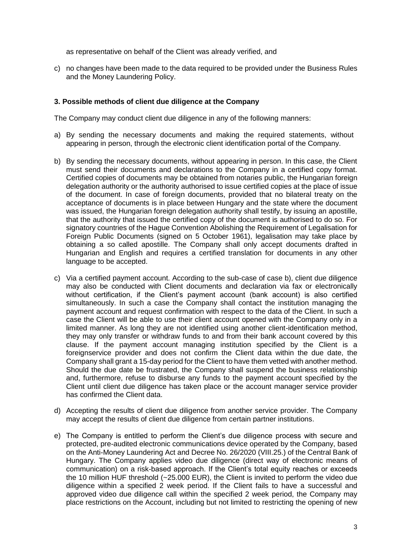as representative on behalf of the Client was already verified, and

c) no changes have been made to the data required to be provided under the Business Rules and the Money Laundering Policy.

#### **3. Possible methods of client due diligence at the Company**

The Company may conduct client due diligence in any of the following manners:

- a) By sending the necessary documents and making the required statements, without appearing in person, through the electronic client identification portal of the Company.
- b) By sending the necessary documents, without appearing in person. In this case, the Client must send their documents and declarations to the Company in a certified copy format. Certified copies of documents may be obtained from notaries public, the Hungarian foreign delegation authority or the authority authorised to issue certified copies at the place of issue of the document. In case of foreign documents, provided that no bilateral treaty on the acceptance of documents is in place between Hungary and the state where the document was issued, the Hungarian foreign delegation authority shall testify, by issuing an apostille, that the authority that issued the certified copy of the document is authorised to do so. For signatory countries of the Hague Convention Abolishing the Requirement of Legalisation for Foreign Public Documents (signed on 5 October 1961), legalisation may take place by obtaining a so called apostille. The Company shall only accept documents drafted in Hungarian and English and requires a certified translation for documents in any other language to be accepted.
- c) Via a certified payment account. According to the sub-case of case b), client due diligence may also be conducted with Client documents and declaration via fax or electronically without certification, if the Client's payment account (bank account) is also certified simultaneously. In such a case the Company shall contact the institution managing the payment account and request confirmation with respect to the data of the Client. In such a case the Client will be able to use their client account opened with the Company only in a limited manner. As long they are not identified using another client-identification method, they may only transfer or withdraw funds to and from their bank account covered by this clause. If the payment account managing institution specified by the Client is a foreignservice provider and does not confirm the Client data within the due date, the Company shall grant a 15-day period for the Client to have them vetted with another method. Should the due date be frustrated, the Company shall suspend the business relationship and, furthermore, refuse to disburse any funds to the payment account specified by the Client until client due diligence has taken place or the account manager service provider has confirmed the Client data.
- d) Accepting the results of client due diligence from another service provider. The Company may accept the results of client due diligence from certain partner institutions.
- e) The Company is entitled to perform the Client's due diligence process with secure and protected, pre-audited electronic communications device operated by the Company, based on the Anti-Money Laundering Act and Decree No. 26/2020 (VIII.25.) of the Central Bank of Hungary. The Company applies video due diligence (direct way of electronic means of communication) on a risk-based approach. If the Client's total equity reaches or exceeds the 10 million HUF threshold (~25.000 EUR), the Client is invited to perform the video due diligence within a specified 2 week period. If the Client fails to have a successful and approved video due diligence call within the specified 2 week period, the Company may place restrictions on the Account, including but not limited to restricting the opening of new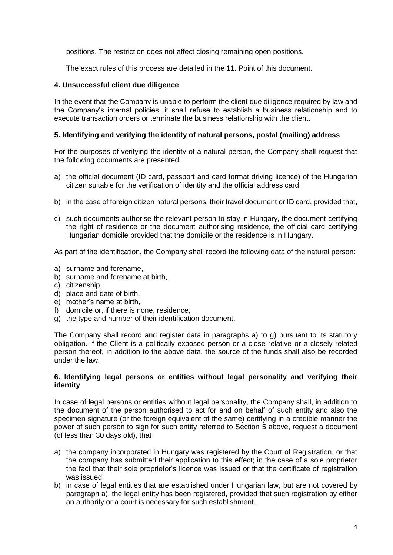positions. The restriction does not affect closing remaining open positions.

The exact rules of this process are detailed in the 11. Point of this document.

#### **4. Unsuccessful client due diligence**

In the event that the Company is unable to perform the client due diligence required by law and the Company's internal policies, it shall refuse to establish a business relationship and to execute transaction orders or terminate the business relationship with the client.

#### **5. Identifying and verifying the identity of natural persons, postal (mailing) address**

For the purposes of verifying the identity of a natural person, the Company shall request that the following documents are presented:

- a) the official document (ID card, passport and card format driving licence) of the Hungarian citizen suitable for the verification of identity and the official address card,
- b) in the case of foreign citizen natural persons, their travel document or ID card, provided that,
- c) such documents authorise the relevant person to stay in Hungary, the document certifying the right of residence or the document authorising residence, the official card certifying Hungarian domicile provided that the domicile or the residence is in Hungary.

As part of the identification, the Company shall record the following data of the natural person:

- a) surname and forename,
- b) surname and forename at birth,
- c) citizenship,
- d) place and date of birth,
- e) mother's name at birth,
- f) domicile or, if there is none, residence,
- g) the type and number of their identification document.

The Company shall record and register data in paragraphs a) to g) pursuant to its statutory obligation. If the Client is a politically exposed person or a close relative or a closely related person thereof, in addition to the above data, the source of the funds shall also be recorded under the law.

#### **6. Identifying legal persons or entities without legal personality and verifying their identity**

In case of legal persons or entities without legal personality, the Company shall, in addition to the document of the person authorised to act for and on behalf of such entity and also the specimen signature (or the foreign equivalent of the same) certifying in a credible manner the power of such person to sign for such entity referred to Section 5 above, request a document (of less than 30 days old), that

- a) the company incorporated in Hungary was registered by the Court of Registration, or that the company has submitted their application to this effect; in the case of a sole proprietor the fact that their sole proprietor's licence was issued or that the certificate of registration was issued,
- b) in case of legal entities that are established under Hungarian law, but are not covered by paragraph a), the legal entity has been registered, provided that such registration by either an authority or a court is necessary for such establishment,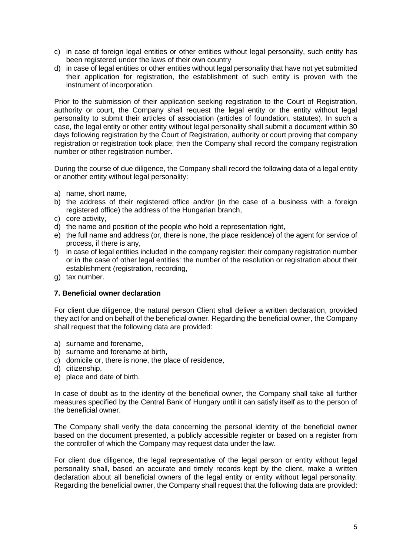- c) in case of foreign legal entities or other entities without legal personality, such entity has been registered under the laws of their own country
- d) in case of legal entities or other entities without legal personality that have not yet submitted their application for registration, the establishment of such entity is proven with the instrument of incorporation.

Prior to the submission of their application seeking registration to the Court of Registration, authority or court, the Company shall request the legal entity or the entity without legal personality to submit their articles of association (articles of foundation, statutes). In such a case, the legal entity or other entity without legal personality shall submit a document within 30 days following registration by the Court of Registration, authority or court proving that company registration or registration took place; then the Company shall record the company registration number or other registration number.

During the course of due diligence, the Company shall record the following data of a legal entity or another entity without legal personality:

- a) name, short name,
- b) the address of their registered office and/or (in the case of a business with a foreign registered office) the address of the Hungarian branch,
- c) core activity,
- d) the name and position of the people who hold a representation right,
- e) the full name and address (or, there is none, the place residence) of the agent for service of process, if there is any,
- f) in case of legal entities included in the company register: their company registration number or in the case of other legal entities: the number of the resolution or registration about their establishment (registration, recording,
- g) tax number.

## **7. Beneficial owner declaration**

For client due diligence, the natural person Client shall deliver a written declaration, provided they act for and on behalf of the beneficial owner. Regarding the beneficial owner, the Company shall request that the following data are provided:

- a) surname and forename,
- b) surname and forename at birth,
- c) domicile or, there is none, the place of residence,
- d) citizenship,
- e) place and date of birth.

In case of doubt as to the identity of the beneficial owner, the Company shall take all further measures specified by the Central Bank of Hungary until it can satisfy itself as to the person of the beneficial owner.

The Company shall verify the data concerning the personal identity of the beneficial owner based on the document presented, a publicly accessible register or based on a register from the controller of which the Company may request data under the law.

For client due diligence, the legal representative of the legal person or entity without legal personality shall, based an accurate and timely records kept by the client, make a written declaration about all beneficial owners of the legal entity or entity without legal personality. Regarding the beneficial owner, the Company shall request that the following data are provided: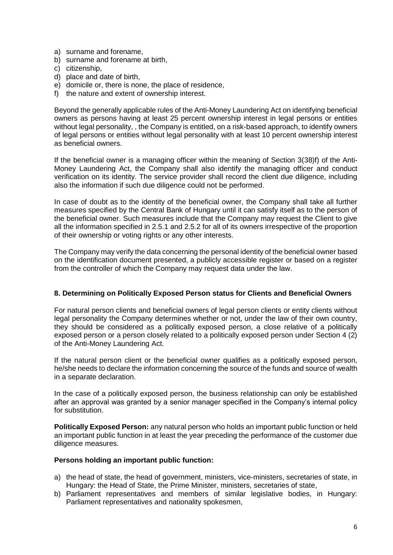- a) surname and forename,
- b) surname and forename at birth,
- c) citizenship,
- d) place and date of birth,
- e) domicile or, there is none, the place of residence,
- f) the nature and extent of ownership interest.

Beyond the generally applicable rules of the Anti-Money Laundering Act on identifying beneficial owners as persons having at least 25 percent ownership interest in legal persons or entities without legal personality, , the Company is entitled, on a risk-based approach, to identify owners of legal persons or entities without legal personality with at least 10 percent ownership interest as beneficial owners.

If the beneficial owner is a managing officer within the meaning of Section 3(38)f) of the Anti-Money Laundering Act, the Company shall also identify the managing officer and conduct verification on its identity. The service provider shall record the client due diligence, including also the information if such due diligence could not be performed.

In case of doubt as to the identity of the beneficial owner, the Company shall take all further measures specified by the Central Bank of Hungary until it can satisfy itself as to the person of the beneficial owner. Such measures include that the Company may request the Client to give all the information specified in 2.5.1 and 2.5.2 for all of its owners irrespective of the proportion of their ownership or voting rights or any other interests.

The Company may verify the data concerning the personal identity of the beneficial owner based on the identification document presented, a publicly accessible register or based on a register from the controller of which the Company may request data under the law.

## **8. Determining on Politically Exposed Person status for Clients and Beneficial Owners**

For natural person clients and beneficial owners of legal person clients or entity clients without legal personality the Company determines whether or not, under the law of their own country, they should be considered as a politically exposed person, a close relative of a politically exposed person or a person closely related to a politically exposed person under Section 4 (2) of the Anti-Money Laundering Act.

If the natural person client or the beneficial owner qualifies as a politically exposed person, he/she needs to declare the information concerning the source of the funds and source of wealth in a separate declaration.

In the case of a politically exposed person, the business relationship can only be established after an approval was granted by a senior manager specified in the Company's internal policy for substitution.

**Politically Exposed Person:** any natural person who holds an important public function or held an important public function in at least the year preceding the performance of the customer due diligence measures.

## **Persons holding an important public function:**

- a) the head of state, the head of government, ministers, vice-ministers, secretaries of state, in Hungary: the Head of State, the Prime Minister, ministers, secretaries of state,
- b) Parliament representatives and members of similar legislative bodies, in Hungary: Parliament representatives and nationality spokesmen,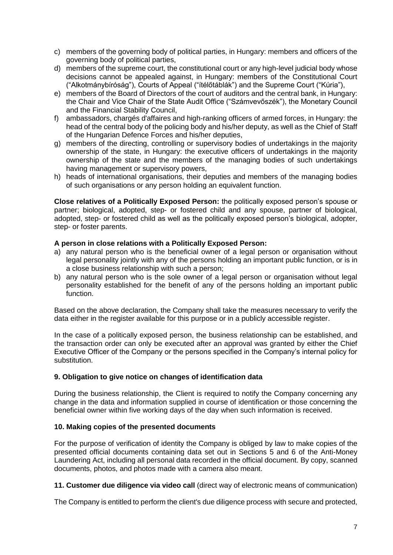- c) members of the governing body of political parties, in Hungary: members and officers of the governing body of political parties,
- d) members of the supreme court, the constitutional court or any high-level judicial body whose decisions cannot be appealed against, in Hungary: members of the Constitutional Court ("Alkotmánybíróság"), Courts of Appeal ("ítélőtáblák") and the Supreme Court ("Kúria"),
- e) members of the Board of Directors of the court of auditors and the central bank, in Hungary: the Chair and Vice Chair of the State Audit Office ("Számvevőszék"), the Monetary Council and the Financial Stability Council,
- f) ambassadors, chargés d'affaires and high-ranking officers of armed forces, in Hungary: the head of the central body of the policing body and his/her deputy, as well as the Chief of Staff of the Hungarian Defence Forces and his/her deputies,
- g) members of the directing, controlling or supervisory bodies of undertakings in the majority ownership of the state, in Hungary: the executive officers of undertakings in the majority ownership of the state and the members of the managing bodies of such undertakings having management or supervisory powers,
- h) heads of international organisations, their deputies and members of the managing bodies of such organisations or any person holding an equivalent function.

**Close relatives of a Politically Exposed Person:** the politically exposed person's spouse or partner; biological, adopted, step- or fostered child and any spouse, partner of biological, adopted, step- or fostered child as well as the politically exposed person's biological, adopter, step- or foster parents.

# **A person in close relations with a Politically Exposed Person:**

- a) any natural person who is the beneficial owner of a legal person or organisation without legal personality jointly with any of the persons holding an important public function, or is in a close business relationship with such a person;
- b) any natural person who is the sole owner of a legal person or organisation without legal personality established for the benefit of any of the persons holding an important public function.

Based on the above declaration, the Company shall take the measures necessary to verify the data either in the register available for this purpose or in a publicly accessible register.

In the case of a politically exposed person, the business relationship can be established, and the transaction order can only be executed after an approval was granted by either the Chief Executive Officer of the Company or the persons specified in the Company's internal policy for substitution.

## **9. Obligation to give notice on changes of identification data**

During the business relationship, the Client is required to notify the Company concerning any change in the data and information supplied in course of identification or those concerning the beneficial owner within five working days of the day when such information is received.

## **10. Making copies of the presented documents**

For the purpose of verification of identity the Company is obliged by law to make copies of the presented official documents containing data set out in Sections 5 and 6 of the Anti-Money Laundering Act, including all personal data recorded in the official document. By copy, scanned documents, photos, and photos made with a camera also meant.

**11. Customer due diligence via video call** (direct way of electronic means of communication)

The Company is entitled to perform the client's due diligence process with secure and protected,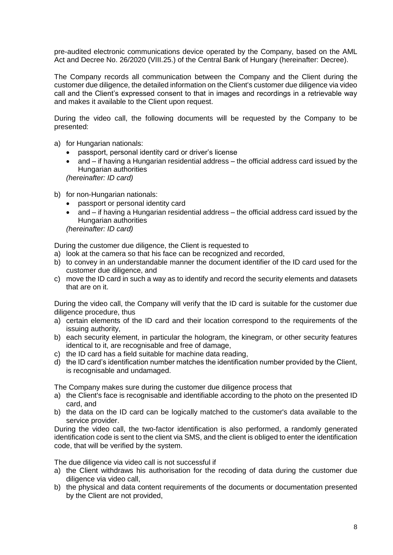pre-audited electronic communications device operated by the Company, based on the AML Act and Decree No. 26/2020 (VIII.25.) of the Central Bank of Hungary (hereinafter: Decree).

The Company records all communication between the Company and the Client during the customer due diligence, the detailed information on the Client's customer due diligence via video call and the Client's expressed consent to that in images and recordings in a retrievable way and makes it available to the Client upon request.

During the video call, the following documents will be requested by the Company to be presented:

- a) for Hungarian nationals:
	- passport, personal identity card or driver's license
	- and if having a Hungarian residential address the official address card issued by the Hungarian authorities *(hereinafter: ID card)*
	-
- b) for non-Hungarian nationals:
	- passport or personal identity card
	- and if having a Hungarian residential address the official address card issued by the Hungarian authorities

*(hereinafter: ID card)*

During the customer due diligence, the Client is requested to

- a) look at the camera so that his face can be recognized and recorded,
- b) to convey in an understandable manner the document identifier of the ID card used for the customer due diligence, and
- c) move the ID card in such a way as to identify and record the security elements and datasets that are on it.

During the video call, the Company will verify that the ID card is suitable for the customer due diligence procedure, thus

- a) certain elements of the ID card and their location correspond to the requirements of the issuing authority,
- b) each security element, in particular the hologram, the kinegram, or other security features identical to it, are recognisable and free of damage,
- c) the ID card has a field suitable for machine data reading,
- d) the ID card's identification number matches the identification number provided by the Client, is recognisable and undamaged.

The Company makes sure during the customer due diligence process that

- a) the Client's face is recognisable and identifiable according to the photo on the presented ID card, and
- b) the data on the ID card can be logically matched to the customer's data available to the service provider.

During the video call, the two-factor identification is also performed, a randomly generated identification code is sent to the client via SMS, and the client is obliged to enter the identification code, that will be verified by the system.

The due diligence via video call is not successful if

- a) the Client withdraws his authorisation for the recoding of data during the customer due diligence via video call,
- b) the physical and data content requirements of the documents or documentation presented by the Client are not provided,